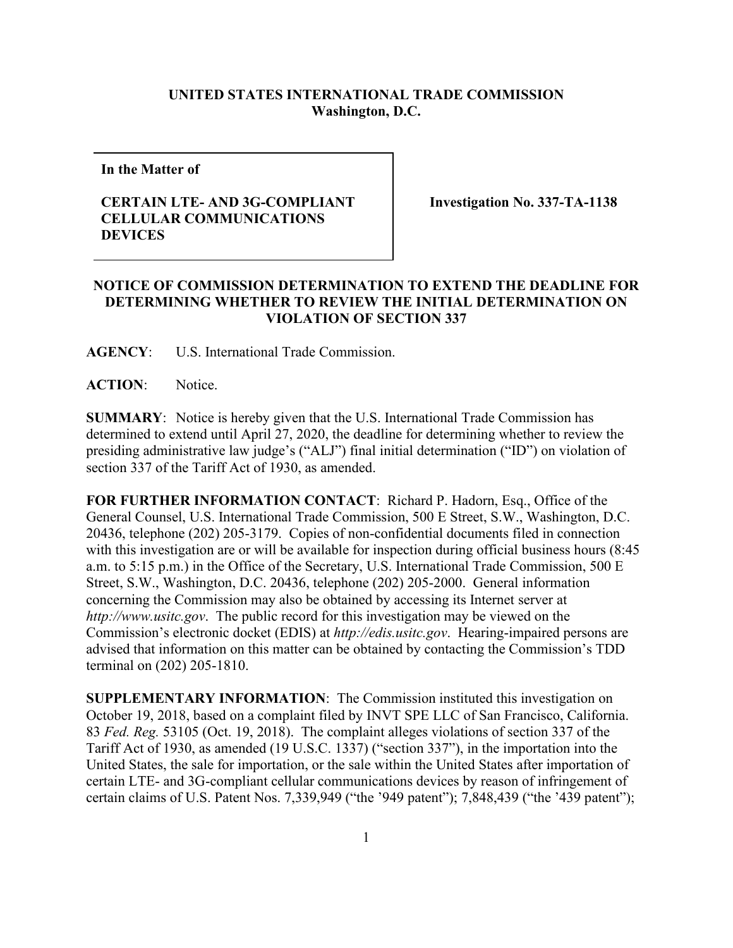## **UNITED STATES INTERNATIONAL TRADE COMMISSION Washington, D.C.**

**In the Matter of**

## **CERTAIN LTE- AND 3G-COMPLIANT CELLULAR COMMUNICATIONS DEVICES**

**Investigation No. 337-TA-1138**

## **NOTICE OF COMMISSION DETERMINATION TO EXTEND THE DEADLINE FOR DETERMINING WHETHER TO REVIEW THE INITIAL DETERMINATION ON VIOLATION OF SECTION 337**

**AGENCY**: U.S. International Trade Commission.

**ACTION**: Notice.

**SUMMARY**: Notice is hereby given that the U.S. International Trade Commission has determined to extend until April 27, 2020, the deadline for determining whether to review the presiding administrative law judge's ("ALJ") final initial determination ("ID") on violation of section 337 of the Tariff Act of 1930, as amended.

**FOR FURTHER INFORMATION CONTACT**: Richard P. Hadorn, Esq., Office of the General Counsel, U.S. International Trade Commission, 500 E Street, S.W., Washington, D.C. 20436, telephone (202) 205-3179. Copies of non-confidential documents filed in connection with this investigation are or will be available for inspection during official business hours (8:45 a.m. to 5:15 p.m.) in the Office of the Secretary, U.S. International Trade Commission, 500 E Street, S.W., Washington, D.C. 20436, telephone (202) 205-2000. General information concerning the Commission may also be obtained by accessing its Internet server at *http://www.usitc.gov*. The public record for this investigation may be viewed on the Commission's electronic docket (EDIS) at *http://edis.usitc.gov*. Hearing-impaired persons are advised that information on this matter can be obtained by contacting the Commission's TDD terminal on (202) 205-1810.

**SUPPLEMENTARY INFORMATION**: The Commission instituted this investigation on October 19, 2018, based on a complaint filed by INVT SPE LLC of San Francisco, California. 83 *Fed. Reg.* 53105 (Oct. 19, 2018). The complaint alleges violations of section 337 of the Tariff Act of 1930, as amended (19 U.S.C. 1337) ("section 337"), in the importation into the United States, the sale for importation, or the sale within the United States after importation of certain LTE- and 3G-compliant cellular communications devices by reason of infringement of certain claims of U.S. Patent Nos. 7,339,949 ("the '949 patent"); 7,848,439 ("the '439 patent");